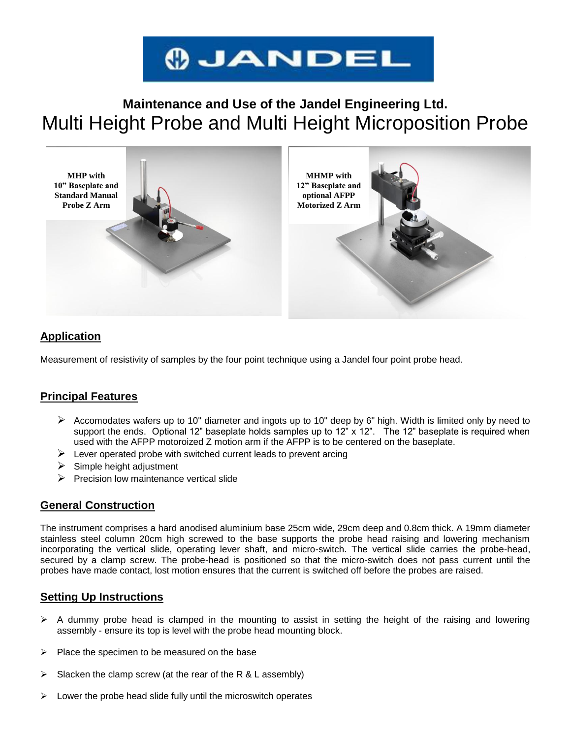

# **Maintenance and Use of the Jandel Engineering Ltd.** Multi Height Probe and Multi Height Microposition Probe



### **Application**

Measurement of resistivity of samples by the four point technique using a Jandel four point probe head.

### **Principal Features**

- Accomodates wafers up to 10" diameter and ingots up to 10" deep by 6" high. Width is limited only by need to support the ends. Optional 12" baseplate holds samples up to 12" x 12". The 12" baseplate is required when used with the AFPP motoroized Z motion arm if the AFPP is to be centered on the baseplate.
- $\triangleright$  Lever operated probe with switched current leads to prevent arcing
- $\triangleright$  Simple height adjustment
- $\triangleright$  Precision low maintenance vertical slide

### **General Construction**

The instrument comprises a hard anodised aluminium base 25cm wide, 29cm deep and 0.8cm thick. A 19mm diameter stainless steel column 20cm high screwed to the base supports the probe head raising and lowering mechanism incorporating the vertical slide, operating lever shaft, and micro-switch. The vertical slide carries the probe-head, secured by a clamp screw. The probe-head is positioned so that the micro-switch does not pass current until the probes have made contact, lost motion ensures that the current is switched off before the probes are raised.

### **Setting Up Instructions**

- $\triangleright$  A dummy probe head is clamped in the mounting to assist in setting the height of the raising and lowering assembly - ensure its top is level with the probe head mounting block.
- $\triangleright$  Place the specimen to be measured on the base
- $\triangleright$  Slacken the clamp screw (at the rear of the R & L assembly)
- $\triangleright$  Lower the probe head slide fully until the microswitch operates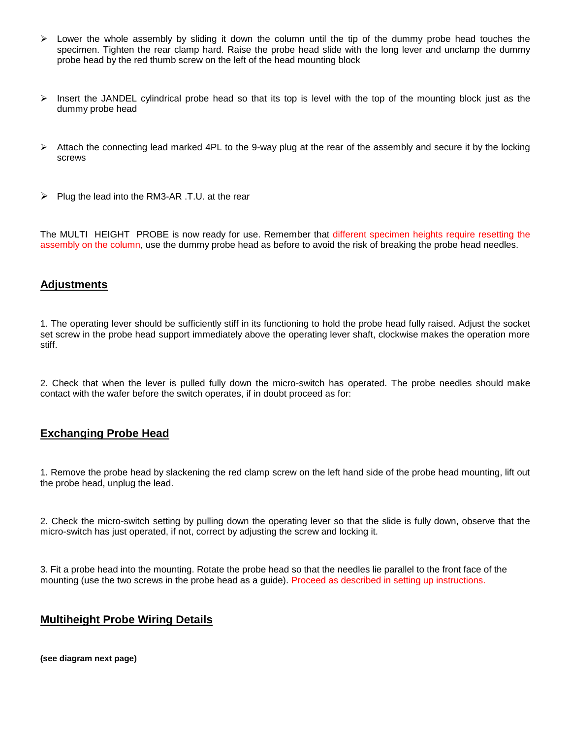- $\triangleright$  Lower the whole assembly by sliding it down the column until the tip of the dummy probe head touches the specimen. Tighten the rear clamp hard. Raise the probe head slide with the long lever and unclamp the dummy probe head by the red thumb screw on the left of the head mounting block
- Insert the JANDEL cylindrical probe head so that its top is level with the top of the mounting block just as the dummy probe head
- $\triangleright$  Attach the connecting lead marked 4PL to the 9-way plug at the rear of the assembly and secure it by the locking screws
- $\triangleright$  Plug the lead into the RM3-AR .T.U. at the rear

The MULTI HEIGHT PROBE is now ready for use. Remember that different specimen heights require resetting the assembly on the column, use the dummy probe head as before to avoid the risk of breaking the probe head needles.

#### **Adjustments**

1. The operating lever should be sufficiently stiff in its functioning to hold the probe head fully raised. Adjust the socket set screw in the probe head support immediately above the operating lever shaft, clockwise makes the operation more stiff.

2. Check that when the lever is pulled fully down the micro-switch has operated. The probe needles should make contact with the wafer before the switch operates, if in doubt proceed as for:

#### **Exchanging Probe Head**

1. Remove the probe head by slackening the red clamp screw on the left hand side of the probe head mounting, lift out the probe head, unplug the lead.

2. Check the micro-switch setting by pulling down the operating lever so that the slide is fully down, observe that the micro-switch has just operated, if not, correct by adjusting the screw and locking it.

3. Fit a probe head into the mounting. Rotate the probe head so that the needles lie parallel to the front face of the mounting (use the two screws in the probe head as a guide). Proceed as described in setting up instructions.

### **Multiheight Probe Wiring Details**

**(see diagram next page)**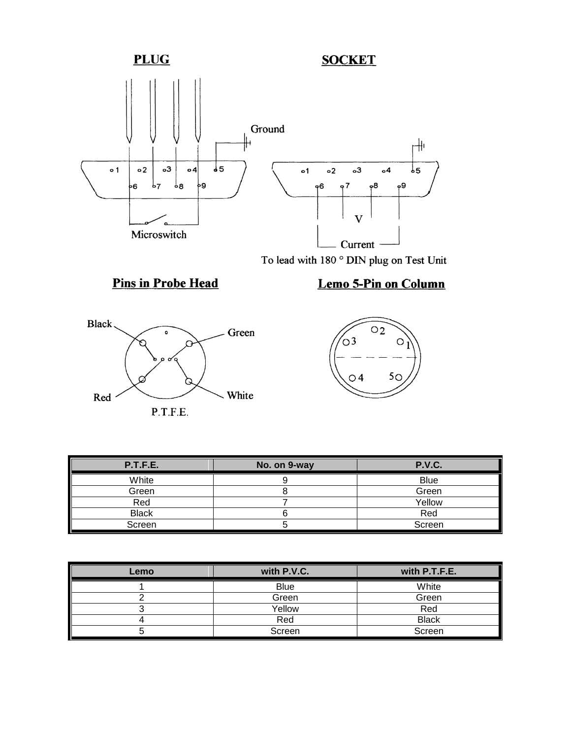

To lead with 180  $^{\circ}$  DIN plug on Test Unit

# **Pins in Probe Head**



# Lemo 5-Pin on Column



| P.T.F.E.     | No. on 9-way | <b>P.V.C.</b> |
|--------------|--------------|---------------|
| White        |              | <b>Blue</b>   |
| Green        |              | Green         |
| Red          |              | Yellow        |
| <b>Black</b> |              | Red           |
| Screen       |              | Screen        |

| Lemo | with P.V.C. | with P.T.F.E. |
|------|-------------|---------------|
|      | <b>Blue</b> | White         |
|      | Green       | Green         |
|      | Yellow      | Red           |
|      | Red         | <b>Black</b>  |
|      | Screen      | Screen        |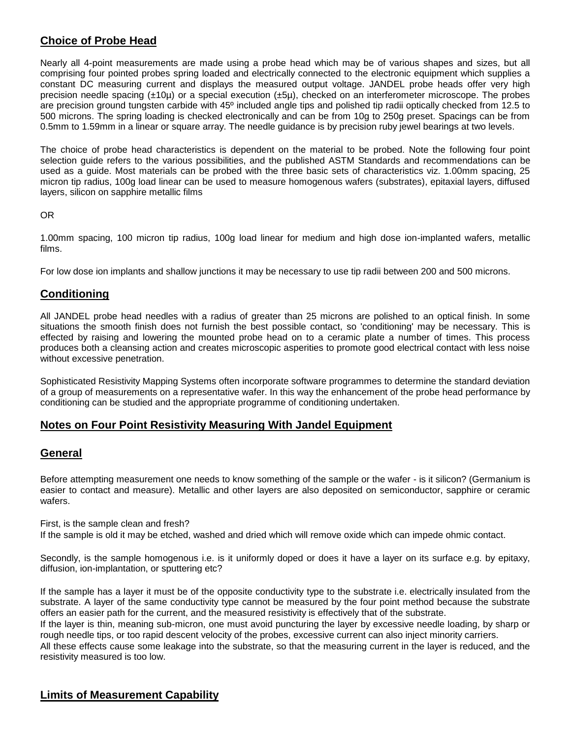### **Choice of Probe Head**

Nearly all 4-point measurements are made using a probe head which may be of various shapes and sizes, but all comprising four pointed probes spring loaded and electrically connected to the electronic equipment which supplies a constant DC measuring current and displays the measured output voltage. JANDEL probe heads offer very high precision needle spacing (±10µ) or a special execution (±5µ), checked on an interferometer microscope. The probes are precision ground tungsten carbide with 45º included angle tips and polished tip radii optically checked from 12.5 to 500 microns. The spring loading is checked electronically and can be from 10g to 250g preset. Spacings can be from 0.5mm to 1.59mm in a linear or square array. The needle guidance is by precision ruby jewel bearings at two levels.

The choice of probe head characteristics is dependent on the material to be probed. Note the following four point selection guide refers to the various possibilities, and the published ASTM Standards and recommendations can be used as a guide. Most materials can be probed with the three basic sets of characteristics viz. 1.00mm spacing, 25 micron tip radius, 100g load linear can be used to measure homogenous wafers (substrates), epitaxial layers, diffused layers, silicon on sapphire metallic films

#### OR

1.00mm spacing, 100 micron tip radius, 100g load linear for medium and high dose ion-implanted wafers, metallic films.

For low dose ion implants and shallow junctions it may be necessary to use tip radii between 200 and 500 microns.

### **Conditioning**

All JANDEL probe head needles with a radius of greater than 25 microns are polished to an optical finish. In some situations the smooth finish does not furnish the best possible contact, so 'conditioning' may be necessary. This is effected by raising and lowering the mounted probe head on to a ceramic plate a number of times. This process produces both a cleansing action and creates microscopic asperities to promote good electrical contact with less noise without excessive penetration.

Sophisticated Resistivity Mapping Systems often incorporate software programmes to determine the standard deviation of a group of measurements on a representative wafer. In this way the enhancement of the probe head performance by conditioning can be studied and the appropriate programme of conditioning undertaken.

### **Notes on Four Point Resistivity Measuring With Jandel Equipment**

### **General**

Before attempting measurement one needs to know something of the sample or the wafer - is it silicon? (Germanium is easier to contact and measure). Metallic and other layers are also deposited on semiconductor, sapphire or ceramic wafers.

First, is the sample clean and fresh?

If the sample is old it may be etched, washed and dried which will remove oxide which can impede ohmic contact.

Secondly, is the sample homogenous i.e. is it uniformly doped or does it have a layer on its surface e.g. by epitaxy, diffusion, ion-implantation, or sputtering etc?

If the sample has a layer it must be of the opposite conductivity type to the substrate i.e. electrically insulated from the substrate. A layer of the same conductivity type cannot be measured by the four point method because the substrate offers an easier path for the current, and the measured resistivity is effectively that of the substrate.

If the layer is thin, meaning sub-micron, one must avoid puncturing the layer by excessive needle loading, by sharp or rough needle tips, or too rapid descent velocity of the probes, excessive current can also inject minority carriers.

All these effects cause some leakage into the substrate, so that the measuring current in the layer is reduced, and the resistivity measured is too low.

### **Limits of Measurement Capability**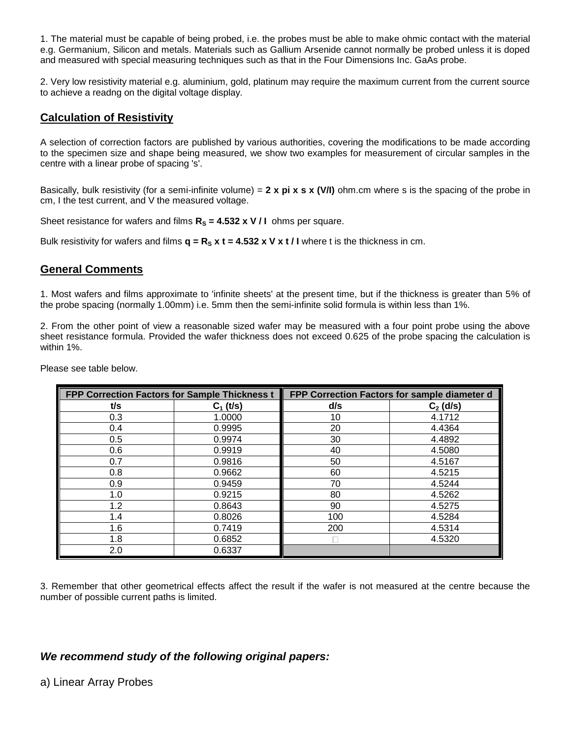1. The material must be capable of being probed, i.e. the probes must be able to make ohmic contact with the material e.g. Germanium, Silicon and metals. Materials such as Gallium Arsenide cannot normally be probed unless it is doped and measured with special measuring techniques such as that in the Four Dimensions Inc. GaAs probe.

2. Very low resistivity material e.g. aluminium, gold, platinum may require the maximum current from the current source to achieve a readng on the digital voltage display.

### **Calculation of Resistivity**

A selection of correction factors are published by various authorities, covering the modifications to be made according to the specimen size and shape being measured, we show two examples for measurement of circular samples in the centre with a linear probe of spacing 's'.

Basically, bulk resistivity (for a semi-infinite volume) = **2 x pi x s x (V/I)** ohm.cm where s is the spacing of the probe in cm, I the test current, and V the measured voltage.

Sheet resistance for wafers and films  $R_s = 4.532 \times V/I$  ohms per square.

Bulk resistivity for wafers and films  $q = R_s x t = 4.532 x V x t / I$  where t is the thickness in cm.

### **General Comments**

1. Most wafers and films approximate to 'infinite sheets' at the present time, but if the thickness is greater than 5% of the probe spacing (normally 1.00mm) i.e. 5mm then the semi-infinite solid formula is within less than 1%.

2. From the other point of view a reasonable sized wafer may be measured with a four point probe using the above sheet resistance formula. Provided the wafer thickness does not exceed 0.625 of the probe spacing the calculation is within 1%.

| FPP Correction Factors for Sample Thickness t |             | FPP Correction Factors for sample diameter d |             |
|-----------------------------------------------|-------------|----------------------------------------------|-------------|
| t/s                                           | $C_1$ (t/s) | d/s                                          | $C_2$ (d/s) |
| 0.3                                           | 1.0000      | 10                                           | 4.1712      |
| 0.4                                           | 0.9995      | 20                                           | 4.4364      |
| 0.5                                           | 0.9974      | 30                                           | 4.4892      |
| 0.6                                           | 0.9919      | 40                                           | 4.5080      |
| 0.7                                           | 0.9816      | 50                                           | 4.5167      |
| 0.8                                           | 0.9662      | 60                                           | 4.5215      |
| 0.9                                           | 0.9459      | 70                                           | 4.5244      |
| 1.0                                           | 0.9215      | 80                                           | 4.5262      |
| 1.2                                           | 0.8643      | 90                                           | 4.5275      |
| 1.4                                           | 0.8026      | 100                                          | 4.5284      |
| 1.6                                           | 0.7419      | 200                                          | 4.5314      |
| 1.8                                           | 0.6852      |                                              | 4.5320      |
| 2.0                                           | 0.6337      |                                              |             |

Please see table below.

3. Remember that other geometrical effects affect the result if the wafer is not measured at the centre because the number of possible current paths is limited.

### *We recommend study of the following original papers:*

### a) Linear Array Probes